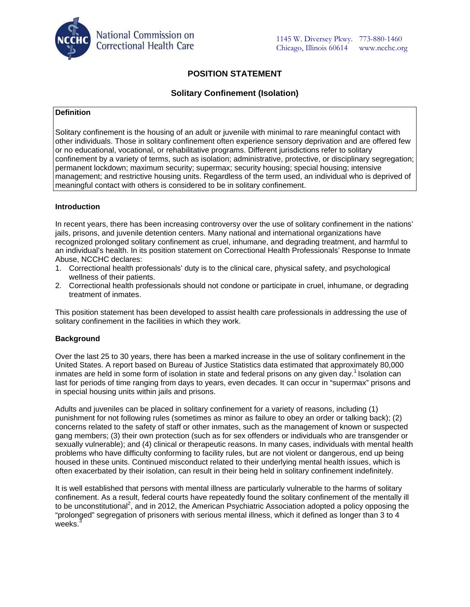

# **POSITION STATEMENT**

## **Solitary Confinement (Isolation)**

## **Definition**

Solitary confinement is the housing of an adult or juvenile with minimal to rare meaningful contact with other individuals. Those in solitary confinement often experience sensory deprivation and are offered few or no educational, vocational, or rehabilitative programs. Different jurisdictions refer to solitary confinement by a variety of terms, such as isolation; administrative, protective, or disciplinary segregation; permanent lockdown; maximum security; supermax; security housing; special housing; intensive management; and restrictive housing units. Regardless of the term used, an individual who is deprived of meaningful contact with others is considered to be in solitary confinement.

### **Introduction**

In recent years, there has been increasing controversy over the use of solitary confinement in the nations' jails, prisons, and juvenile detention centers. Many national and international organizations have recognized prolonged solitary confinement as cruel, inhumane, and degrading treatment, and harmful to an individual's health. In its position statement on Correctional Health Professionals' Response to Inmate Abuse, NCCHC declares:

- 1. Correctional health professionals' duty is to the clinical care, physical safety, and psychological wellness of their patients.
- 2. Correctional health professionals should not condone or participate in cruel, inhumane, or degrading treatment of inmates.

This position statement has been developed to assist health care professionals in addressing the use of solitary confinement in the facilities in which they work.

#### **Background**

Over the last 25 to 30 years, there has been a marked increase in the use of solitary confinement in the United States. A report based on Bureau of Justice Statistics data estimated that approximately 80,000 inmates are held in some form of isolation in state and federal prisons on any given day.<sup>1</sup> Isolation can last for periods of time ranging from days to years, even decades. It can occur in "supermax" prisons and in special housing units within jails and prisons.

Adults and juveniles can be placed in solitary confinement for a variety of reasons, including (1) punishment for not following rules (sometimes as minor as failure to obey an order or talking back); (2) concerns related to the safety of staff or other inmates, such as the management of known or suspected gang members; (3) their own protection (such as for sex offenders or individuals who are transgender or sexually vulnerable); and (4) clinical or therapeutic reasons. In many cases, individuals with mental health problems who have difficulty conforming to facility rules, but are not violent or dangerous, end up being housed in these units. Continued misconduct related to their underlying mental health issues, which is often exacerbated by their isolation, can result in their being held in solitary confinement indefinitely.

It is well established that persons with mental illness are particularly vulnerable to the harms of solitary confinement. As a result, federal courts have repeatedly found the solitary confinement of the mentally ill to be unconstitutional<sup>2</sup>, and in 2012, the American Psychiatric Association adopted a policy opposing the "prolonged" segregation of prisoners with serious mental illness, which it defined as longer than 3 to 4 weeks.<sup>3</sup>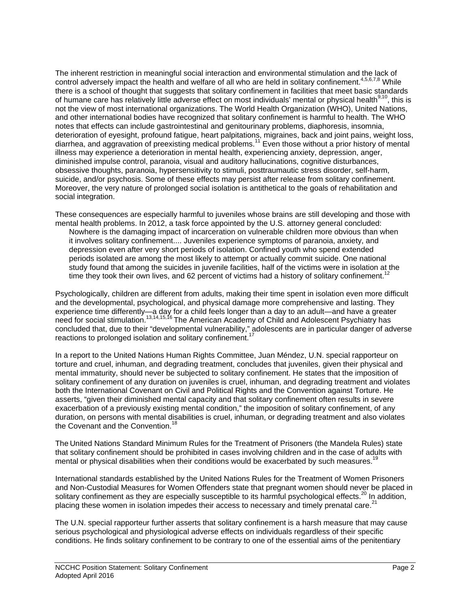The inherent restriction in meaningful social interaction and environmental stimulation and the lack of control adversely impact the health and welfare of all who are held in solitary confinement.<sup>4,5,6,7,8</sup> While there is a school of thought that suggests that solitary confinement in facilities that meet basic standards of humane care has relatively little adverse effect on most individuals' mental or physical health<sup>9,10</sup>, this is not the view of most international organizations. The World Health Organization (WHO), United Nations, and other international bodies have recognized that solitary confinement is harmful to health. The WHO notes that effects can include gastrointestinal and genitourinary problems, diaphoresis, insomnia, deterioration of eyesight, profound fatigue, heart palpitations, migraines, back and joint pains, weight loss, diarrhea, and aggravation of preexisting medical problems.<sup>11</sup> Even those without a prior history of mental illness may experience a deterioration in mental health, experiencing anxiety, depression, anger, diminished impulse control, paranoia, visual and auditory hallucinations, cognitive disturbances, obsessive thoughts, paranoia, hypersensitivity to stimuli, posttraumautic stress disorder, self-harm, suicide, and/or psychosis. Some of these effects may persist after release from solitary confinement. Moreover, the very nature of prolonged social isolation is antithetical to the goals of rehabilitation and social integration.

These consequences are especially harmful to juveniles whose brains are still developing and those with mental health problems. In 2012, a task force appointed by the U.S. attorney general concluded: Nowhere is the damaging impact of incarceration on vulnerable children more obvious than when it involves solitary confinement.... Juveniles experience symptoms of paranoia, anxiety, and depression even after very short periods of isolation. Confined youth who spend extended periods isolated are among the most likely to attempt or actually commit suicide. One national study found that among the suicides in juvenile facilities, half of the victims were in isolation at the time they took their own lives, and 62 percent of victims had a history of solitary confinement.<sup>11</sup>

Psychologically, children are different from adults, making their time spent in isolation even more difficult and the developmental, psychological, and physical damage more comprehensive and lasting. They experience time differently—a day for a child feels longer than a day to an adult—and have a greater need for social stimulation.<sup>13,14,15,16</sup> The American Academy of Child and Adolescent Psychiatry has concluded that, due to their "developmental vulnerability," adolescents are in particular danger of adverse reactions to prolonged isolation and solitary confinement.<sup>17</sup>

In a report to the United Nations Human Rights Committee, Juan Méndez, U.N. special rapporteur on torture and cruel, inhuman, and degrading treatment, concludes that juveniles, given their physical and mental immaturity, should never be subjected to solitary confinement. He states that the imposition of solitary confinement of any duration on juveniles is cruel, inhuman, and degrading treatment and violates both the International Covenant on Civil and Political Rights and the Convention against Torture. He asserts, "given their diminished mental capacity and that solitary confinement often results in severe exacerbation of a previously existing mental condition," the imposition of solitary confinement, of any duration, on persons with mental disabilities is cruel, inhuman, or degrading treatment and also violates the Covenant and the Convention.<sup>18</sup>

The United Nations Standard Minimum Rules for the Treatment of Prisoners (the Mandela Rules) state that solitary confinement should be prohibited in cases involving children and in the case of adults with mental or physical disabilities when their conditions would be exacerbated by such measures.<sup>19</sup>

International standards established by the United Nations Rules for the Treatment of Women Prisoners and Non-Custodial Measures for Women Offenders state that pregnant women should never be placed in solitary confinement as they are especially susceptible to its harmful psychological effects.<sup>20</sup> In addition, placing these women in isolation impedes their access to necessary and timely prenatal care.<sup>21</sup>

The U.N. special rapporteur further asserts that solitary confinement is a harsh measure that may cause serious psychological and physiological adverse effects on individuals regardless of their specific conditions. He finds solitary confinement to be contrary to one of the essential aims of the penitentiary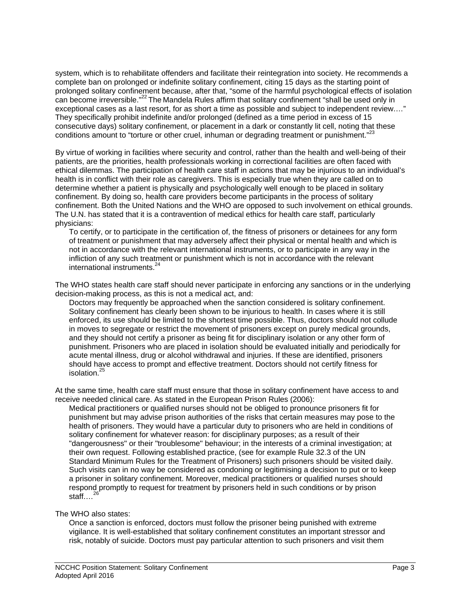system, which is to rehabilitate offenders and facilitate their reintegration into society. He recommends a complete ban on prolonged or indefinite solitary confinement, citing 15 days as the starting point of prolonged solitary confinement because, after that, "some of the harmful psychological effects of isolation can become irreversible."<sup>22</sup> The Mandela Rules affirm that solitary confinement "shall be used only in exceptional cases as a last resort, for as short a time as possible and subject to independent review.…" They specifically prohibit indefinite and/or prolonged (defined as a time period in excess of 15 consecutive days) solitary confinement, or placement in a dark or constantly lit cell, noting that these conditions amount to "torture or other cruel, inhuman or degrading treatment or punishment."<sup>23</sup>

By virtue of working in facilities where security and control, rather than the health and well-being of their patients, are the priorities, health professionals working in correctional facilities are often faced with ethical dilemmas. The participation of health care staff in actions that may be injurious to an individual's health is in conflict with their role as caregivers. This is especially true when they are called on to determine whether a patient is physically and psychologically well enough to be placed in solitary confinement. By doing so, health care providers become participants in the process of solitary confinement. Both the United Nations and the WHO are opposed to such involvement on ethical grounds. The U.N. has stated that it is a contravention of medical ethics for health care staff, particularly physicians:

To certify, or to participate in the certification of, the fitness of prisoners or detainees for any form of treatment or punishment that may adversely affect their physical or mental health and which is not in accordance with the relevant international instruments, or to participate in any way in the infliction of any such treatment or punishment which is not in accordance with the relevant international instruments.<sup>24</sup>

The WHO states health care staff should never participate in enforcing any sanctions or in the underlying decision-making process, as this is not a medical act, and:

Doctors may frequently be approached when the sanction considered is solitary confinement. Solitary confinement has clearly been shown to be injurious to health. In cases where it is still enforced, its use should be limited to the shortest time possible. Thus, doctors should not collude in moves to segregate or restrict the movement of prisoners except on purely medical grounds, and they should not certify a prisoner as being fit for disciplinary isolation or any other form of punishment. Prisoners who are placed in isolation should be evaluated initially and periodically for acute mental illness, drug or alcohol withdrawal and injuries. If these are identified, prisoners should have access to prompt and effective treatment. Doctors should not certify fitness for isolation.<sup>25</sup>

At the same time, health care staff must ensure that those in solitary confinement have access to and receive needed clinical care. As stated in the European Prison Rules (2006):

Medical practitioners or qualified nurses should not be obliged to pronounce prisoners fit for punishment but may advise prison authorities of the risks that certain measures may pose to the health of prisoners. They would have a particular duty to prisoners who are held in conditions of solitary confinement for whatever reason: for disciplinary purposes; as a result of their "dangerousness" or their "troublesome" behaviour; in the interests of a criminal investigation; at their own request. Following established practice, (see for example Rule 32.3 of the UN Standard Minimum Rules for the Treatment of Prisoners) such prisoners should be visited daily. Such visits can in no way be considered as condoning or legitimising a decision to put or to keep a prisoner in solitary confinement. Moreover, medical practitioners or qualified nurses should respond promptly to request for treatment by prisoners held in such conditions or by prison staff $\ldots^{26}$ 

The WHO also states:

Once a sanction is enforced, doctors must follow the prisoner being punished with extreme vigilance. It is well-established that solitary confinement constitutes an important stressor and risk, notably of suicide. Doctors must pay particular attention to such prisoners and visit them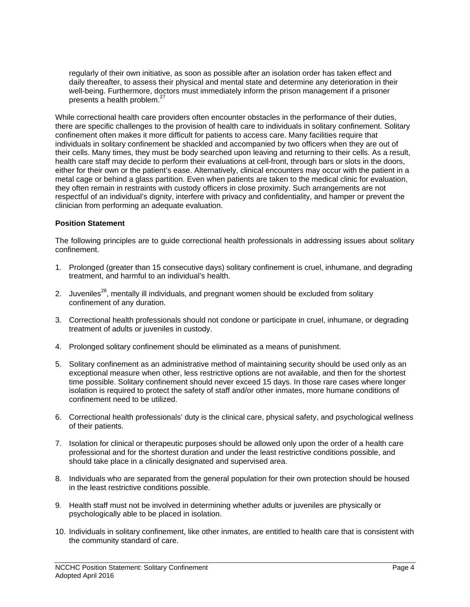regularly of their own initiative, as soon as possible after an isolation order has taken effect and daily thereafter, to assess their physical and mental state and determine any deterioration in their well-being. Furthermore, doctors must immediately inform the prison management if a prisoner presents a health problem.<sup>27</sup>

While correctional health care providers often encounter obstacles in the performance of their duties, there are specific challenges to the provision of health care to individuals in solitary confinement. Solitary confinement often makes it more difficult for patients to access care. Many facilities require that individuals in solitary confinement be shackled and accompanied by two officers when they are out of their cells. Many times, they must be body searched upon leaving and returning to their cells. As a result, health care staff may decide to perform their evaluations at cell-front, through bars or slots in the doors, either for their own or the patient's ease. Alternatively, clinical encounters may occur with the patient in a metal cage or behind a glass partition. Even when patients are taken to the medical clinic for evaluation, they often remain in restraints with custody officers in close proximity. Such arrangements are not respectful of an individual's dignity, interfere with privacy and confidentiality, and hamper or prevent the clinician from performing an adequate evaluation.

## **Position Statement**

The following principles are to guide correctional health professionals in addressing issues about solitary confinement.

- 1. Prolonged (greater than 15 consecutive days) solitary confinement is cruel, inhumane, and degrading treatment, and harmful to an individual's health.
- 2. Juveniles<sup>28</sup>, mentally ill individuals, and pregnant women should be excluded from solitary confinement of any duration.
- 3. Correctional health professionals should not condone or participate in cruel, inhumane, or degrading treatment of adults or juveniles in custody.
- 4. Prolonged solitary confinement should be eliminated as a means of punishment.
- 5. Solitary confinement as an administrative method of maintaining security should be used only as an exceptional measure when other, less restrictive options are not available, and then for the shortest time possible. Solitary confinement should never exceed 15 days. In those rare cases where longer isolation is required to protect the safety of staff and/or other inmates, more humane conditions of confinement need to be utilized.
- 6. Correctional health professionals' duty is the clinical care, physical safety, and psychological wellness of their patients.
- 7. Isolation for clinical or therapeutic purposes should be allowed only upon the order of a health care professional and for the shortest duration and under the least restrictive conditions possible, and should take place in a clinically designated and supervised area.
- 8. Individuals who are separated from the general population for their own protection should be housed in the least restrictive conditions possible.
- 9. Health staff must not be involved in determining whether adults or juveniles are physically or psychologically able to be placed in isolation.
- 10. Individuals in solitary confinement, like other inmates, are entitled to health care that is consistent with the community standard of care.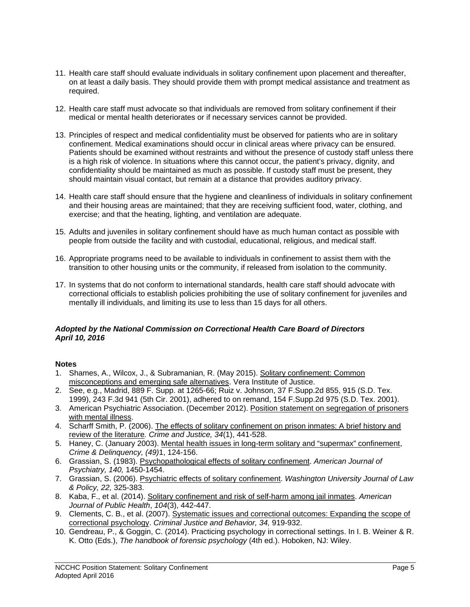- 11. Health care staff should evaluate individuals in solitary confinement upon placement and thereafter, on at least a daily basis. They should provide them with prompt medical assistance and treatment as required.
- 12. Health care staff must advocate so that individuals are removed from solitary confinement if their medical or mental health deteriorates or if necessary services cannot be provided.
- 13. Principles of respect and medical confidentiality must be observed for patients who are in solitary confinement. Medical examinations should occur in clinical areas where privacy can be ensured. Patients should be examined without restraints and without the presence of custody staff unless there is a high risk of violence. In situations where this cannot occur, the patient's privacy, dignity, and confidentiality should be maintained as much as possible. If custody staff must be present, they should maintain visual contact, but remain at a distance that provides auditory privacy.
- 14. Health care staff should ensure that the hygiene and cleanliness of individuals in solitary confinement and their housing areas are maintained; that they are receiving sufficient food, water, clothing, and exercise; and that the heating, lighting, and ventilation are adequate.
- 15. Adults and juveniles in solitary confinement should have as much human contact as possible with people from outside the facility and with custodial, educational, religious, and medical staff.
- 16. Appropriate programs need to be available to individuals in confinement to assist them with the transition to other housing units or the community, if released from isolation to the community.
- 17. In systems that do not conform to international standards, health care staff should advocate with correctional officials to establish policies prohibiting the use of solitary confinement for juveniles and mentally ill individuals, and limiting its use to less than 15 days for all others.

## *Adopted by the National Commission on Correctional Health Care Board of Directors April 10, 2016*

## **Notes**

- 1. Shames, A., Wilcox, J., & Subramanian, R. (May 2015). Solitary confinement: Common misconceptions and emerging safe alternatives. Vera Institute of Justice.
- 2. See, e.g., Madrid, 889 F. Supp. at 1265-66; Ruiz v. Johnson, 37 F.Supp.2d 855, 915 (S.D. Tex. 1999), 243 F.3d 941 (5th Cir. 2001), adhered to on remand, 154 F.Supp.2d 975 (S.D. Tex. 2001).
- 3. American Psychiatric Association. (December 2012). Position statement on segregation of prisoners with mental illness.
- 4. Scharff Smith, P. (2006). The effects of solitary confinement on prison inmates: A brief history and review of the literature*. Crime and Justice, 34*(1), 441-528.
- 5. Haney, C. (January 2003). Mental health issues in long-term solitary and "supermax" confinement, *Crime & Delinquency, (49)*1, 124-156.
- 6. Grassian, S. (1983). Psychopathological effects of solitary confinement. *American Journal of Psychiatry, 140,* 1450-1454.
- 7. Grassian, S. (2006). Psychiatric effects of solitary confinement. *Washington University Journal of Law & Policy, 22,* 325-383.
- 8. Kaba, F., et al. (2014). Solitary confinement and risk of self-harm among jail inmates. *American Journal of Public Health*, *104*(3), 442-447.
- 9. Clements, C. B., et al. (2007). Systematic issues and correctional outcomes: Expanding the scope of correctional psychology. *Criminal Justice and Behavior, 34,* 919-932.
- 10. Gendreau, P., & Goggin, C. (2014). Practicing psychology in correctional settings. In I. B. Weiner & R. K. Otto (Eds.), *The handbook of forensic psychology* (4th ed.). Hoboken, NJ: Wiley.